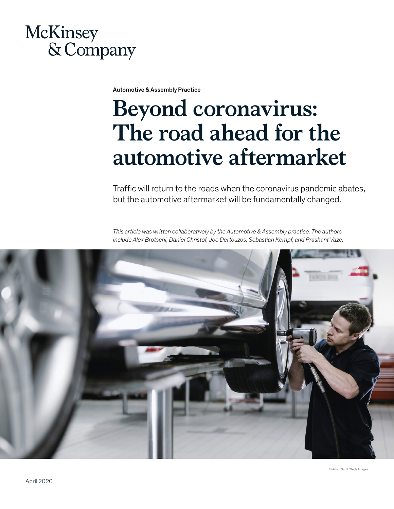# McKinsey & Company

Automotive & Assembly Practice

# **Beyond coronavirus: The road ahead for the automotive aftermarket**

Traffic will return to the roads when the coronavirus pandemic abates, but the automotive aftermarket will be fundamentally changed.

*This article was written collaboratively by the Automotive & Assembly practice. The authors include Alex Brotschi, Daniel Christof, Joe Dertouzos, Sebastian Kempf, and Prashant Vaze.*



© Adam Gault/Getty Images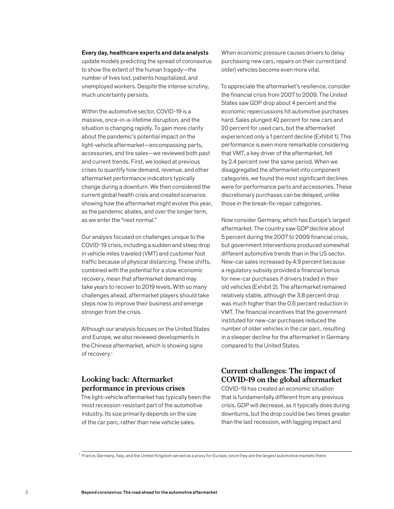#### Every day, healthcare experts and data analysts

update models predicting the spread of coronavirus to show the extent of the human tragedy—the number of lives lost, patients hospitalized, and unemployed workers. Despite the intense scrutiny, much uncertainty persists.

Within the automotive sector, COVID-19 is a massive, once-in-a-lifetime disruption, and the situation is changing rapidly. To gain more clarity about the pandemic's potential impact on the light-vehicle aftermarket—encompassing parts, accessories, and tire sales—we reviewed both past and current trends. First, we looked at previous crises to quantify how demand, revenue, and other aftermarket performance indicators typically change during a downturn. We then considered the current global health crisis and created scenarios showing how the aftermarket might evolve this year, as the pandemic abates, and over the longer term, as we enter the "next normal."

Our analysis focused on challenges unique to the COVID-19 crisis, including a sudden and steep drop in vehicle miles traveled (VMT) and customer foot traffic because of physical distancing. These shifts, combined with the potential for a slow economic recovery, mean that aftermarket demand may take years to recover to 2019 levels. With so many challenges ahead, aftermarket players should take steps now to improve their business and emerge stronger from the crisis.

Although our analysis focuses on the United States and Europe, we also reviewed developments in the Chinese aftermarket, which is showing signs of recovery.1

### **Looking back: Aftermarket performance in previous crises**

The light-vehicle aftermarket has typically been the most recession-resistant part of the automotive industry. Its size primarily depends on the size of the car parc, rather than new vehicle sales.

When economic pressure causes drivers to delay purchasing new cars, repairs on their current (and older) vehicles become even more vital.

To appreciate the aftermarket's resilience, consider the financial crisis from 2007 to 2009. The United States saw GDP drop about 4 percent and the economic repercussions hit automotive purchases hard. Sales plunged 42 percent for new cars and 20 percent for used cars, but the aftermarket experienced only a 1 percent decline (Exhibit 1). This performance is even more remarkable considering that VMT, a key driver of the aftermarket, fell by 2.4 percent over the same period. When we disaggregated the aftermarket into component categories, we found the most significant declines were for performance parts and accessories. These discretionary purchases can be delayed, unlike those in the break-fix-repair categories.

Now consider Germany, which has Europe's largest aftermarket. The country saw GDP decline about 5 percent during the 2007 to 2009 financial crisis, but government interventions produced somewhat different automotive trends than in the US sector. New-car sales increased by 4.9 percent because a regulatory subsidy provided a financial bonus for new-car purchases if drivers traded in their old vehicles (Exhibit 2). The aftermarket remained relatively stable, although the 3.8 percent drop was much higher than the 0.6 percent reduction in VMT. The financial incentives that the government instituted for new-car purchases reduced the number of older vehicles in the car parc, resulting in a steeper decline for the aftermarket in Germany compared to the United States.

#### **Current challenges: The impact of COVID-19 on the global aftermarket**

COVID-19 has created an economic situation that is fundamentally different from any previous crisis. GDP will decrease, as it typically does during downturns, but the drop could be two times greater than the last recession, with lagging impact and

<sup>1</sup> France, Germany, Italy, and the United Kingdom served as a proxy for Europe, since they are the largest automotive markets there.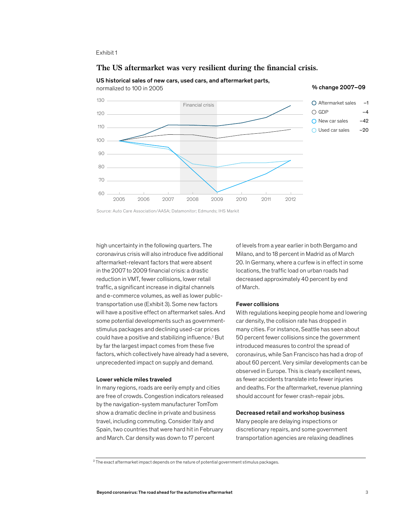#### The US aftermarket was very resilient during the financial crisis.

US historical sales of new cars, used cars, and aftermarket parts,

normalized to 100 in 2005 November 2007–09 and the state of the state of the state of the state of the state of the state of the state of the state of the state of the state of the state of the state of the state of the st



Source: Auto Care Association/AASA; Datamonitor; Edmunds; IHS Markit

high uncertainty in the following quarters. The coronavirus crisis will also introduce five additional aftermarket-relevant factors that were absent in the 2007 to 2009 financial crisis: a drastic reduction in VMT, fewer collisions, lower retail traffic, a significant increase in digital channels and e-commerce volumes, as well as lower publictransportation use (Exhibit 3). Some new factors will have a positive effect on aftermarket sales. And some potential developments such as governmentstimulus packages and declining used-car prices could have a positive and stabilizing influence.<sup>2</sup> But by far the largest impact comes from these five factors, which collectively have already had a severe, unprecedented impact on supply and demand.

#### Lower vehicle miles traveled

In many regions, roads are eerily empty and cities are free of crowds. Congestion indicators released by the navigation-system manufacturer TomTom show a dramatic decline in private and business travel, including commuting. Consider Italy and Spain, two countries that were hard hit in February and March. Car density was down to 17 percent

of levels from a year earlier in both Bergamo and Milano, and to 18 percent in Madrid as of March 20. In Germany, where a curfew is in effect in some locations, the traffic load on urban roads had decreased approximately 40 percent by end of March.

#### Fewer collisions

With regulations keeping people home and lowering car density, the collision rate has dropped in many cities. For instance, Seattle has seen about 50 percent fewer collisions since the government introduced measures to control the spread of coronavirus, while San Francisco has had a drop of about 60 percent. Very similar developments can be observed in Europe. This is clearly excellent news, as fewer accidents translate into fewer injuries and deaths. For the aftermarket, revenue planning should account for fewer crash-repair jobs.

#### Decreased retail and workshop business

Many people are delaying inspections or discretionary repairs, and some government transportation agencies are relaxing deadlines

–1 –4

Exhibit 1

 $^2$ The exact aftermarket impact depends on the nature of potential government stimulus packages.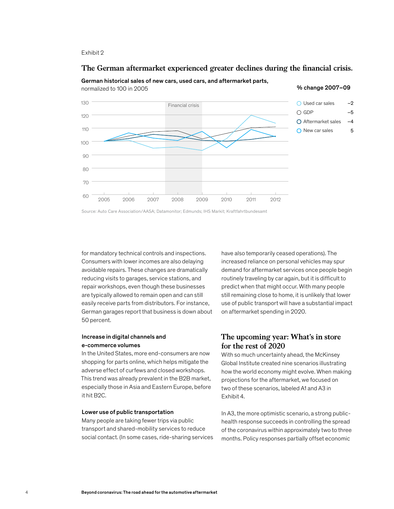#### The German aftermarket experienced greater declines during the financial crisis.



German historical sales of new cars, used cars, and aftermarket parts, normalized to 100 in 2005 and the state of the state of the state of the state of the state of the state of the state of the state of the state of the state of the state of the state of the state of the state of the state

Source: Auto Care Association/AASA; Datamonitor; Edmunds; IHS Markit; Kraftfahrtbundesamt

for mandatory technical controls and inspections. Consumers with lower incomes are also delaying avoidable repairs. These changes are dramatically reducing visits to garages, service stations, and repair workshops, even though these businesses are typically allowed to remain open and can still easily receive parts from distributors. For instance, German garages report that business is down about 50 percent.

#### Increase in digital channels and e-commerce volumes

In the United States, more end-consumers are now shopping for parts online, which helps mitigate the adverse effect of curfews and closed workshops. This trend was already prevalent in the B2B market, especially those in Asia and Eastern Europe, before it hit B2C.

#### Lower use of public transportation

Many people are taking fewer trips via public transport and shared-mobility services to reduce social contact. (In some cases, ride-sharing services have also temporarily ceased operations). The increased reliance on personal vehicles may spur demand for aftermarket services once people begin routinely traveling by car again, but it is difficult to predict when that might occur. With many people still remaining close to home, it is unlikely that lower use of public transport will have a substantial impact on aftermarket spending in 2020.

#### **The upcoming year: What's in store for the rest of 2020**

With so much uncertainty ahead, the McKinsey Global Institute created nine scenarios illustrating how the world economy might evolve. When making projections for the aftermarket, we focused on two of these scenarios, labeled A1 and A3 in Exhibit 4.

In A3, the more optimistic scenario, a strong publichealth response succeeds in controlling the spread of the coronavirus within approximately two to three months. Policy responses partially offset economic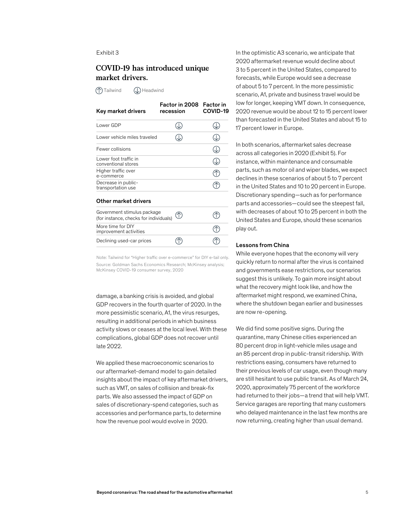#### **COVID-19 has introduced unique market drivers.**

**Tailwind CD** Headwind

| Key market drivers                                                    | Factor in 2008<br>recession | <b>Factor</b> in<br>COVID-19 |
|-----------------------------------------------------------------------|-----------------------------|------------------------------|
| Lower GDP                                                             |                             |                              |
| Lower vehicle miles traveled                                          |                             |                              |
| Fewer collisions                                                      |                             |                              |
| Lower foot traffic in<br>conventional stores                          |                             |                              |
| Higher traffic over<br>e-commerce                                     |                             |                              |
| Decrease in public-<br>transportation use                             |                             |                              |
| Other market drivers                                                  |                             |                              |
| Government stimulus package<br>(for instance, checks for individuals) |                             |                              |
| More time for DIY<br>improvement activities                           |                             |                              |
| Declining used-car prices                                             |                             |                              |

Note: Tailwind for "Higher traffic over e-commerce" for DIY e-tail only. Source: Goldman Sachs Economics Research; McKinsey analysis; McKinsey COVID-19 consumer survey, 2020

damage, a banking crisis is avoided, and global GDP recovers in the fourth quarter of 2020. In the more pessimistic scenario, A1, the virus resurges, resulting in additional periods in which business activity slows or ceases at the local level. With these complications, global GDP does not recover until late 2022.

We applied these macroeconomic scenarios to our aftermarket-demand model to gain detailed insights about the impact of key aftermarket drivers, such as VMT, on sales of collision and break-fix parts. We also assessed the impact of GDP on sales of discretionary-spend categories, such as accessories and performance parts, to determine how the revenue pool would evolve in 2020.

In the optimistic A3 scenario, we anticipate that 2020 aftermarket revenue would decline about 3 to 5 percent in the United States, compared to forecasts, while Europe would see a decrease of about 5 to 7 percent. In the more pessimistic scenario, A1, private and business travel would be low for longer, keeping VMT down. In consequence, 2020 revenue would be about 12 to 15 percent lower than forecasted in the United States and about 15 to 17 percent lower in Europe.

In both scenarios, aftermarket sales decrease across all categories in 2020 (Exhibit 5). For instance, within maintenance and consumable parts, such as motor oil and wiper blades, we expect declines in these scenarios of about 5 to 7 percent in the United States and 10 to 20 percent in Europe. Discretionary spending—such as for performance parts and accessories—could see the steepest fall, with decreases of about 10 to 25 percent in both the United States and Europe, should these scenarios play out.

#### Lessons from China

While everyone hopes that the economy will very quickly return to normal after the virus is contained and governments ease restrictions, our scenarios suggest this is unlikely. To gain more insight about what the recovery might look like, and how the aftermarket might respond, we examined China, where the shutdown began earlier and businesses are now re-opening.

We did find some positive signs. During the quarantine, many Chinese cities experienced an 80 percent drop in light-vehicle miles usage and an 85 percent drop in public-transit ridership. With restrictions easing, consumers have returned to their previous levels of car usage, even though many are still hesitant to use public transit. As of March 24, 2020, approximately 75 percent of the workforce had returned to their jobs—a trend that will help VMT. Service garages are reporting that many customers who delayed maintenance in the last few months are now returning, creating higher than usual demand.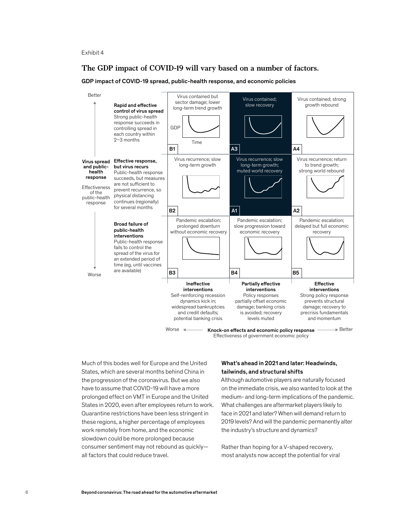#### **The GDP impact of COVID-19 will vary based on a number of factors.**

#### GDP impact of COVID-19 spread, public-health response, and economic policies



Effectiveness of government economic policy

Much of this bodes well for Europe and the United States, which are several months behind China in the progression of the coronavirus. But we also have to assume that COVID-19 will have a more prolonged effect on VMT in Europe and the United States in 2020, even after employees return to work. Quarantine restrictions have been less stringent in these regions, a higher percentage of employees work remotely from home, and the economic slowdown could be more prolonged because consumer sentiment may not rebound as quickly all factors that could reduce travel.

#### What's ahead in 2021 and later: Headwinds, tailwinds, and structural shifts

Although automotive players are naturally focused on the immediate crisis, we also wanted to look at the medium- and long-term implications of the pandemic. What challenges are aftermarket players likely to face in 2021 and later? When will demand return to 2019 levels? And will the pandemic permanently alter the industry's structure and dynamics?

Rather than hoping for a V-shaped recovery, most analysts now accept the potential for viral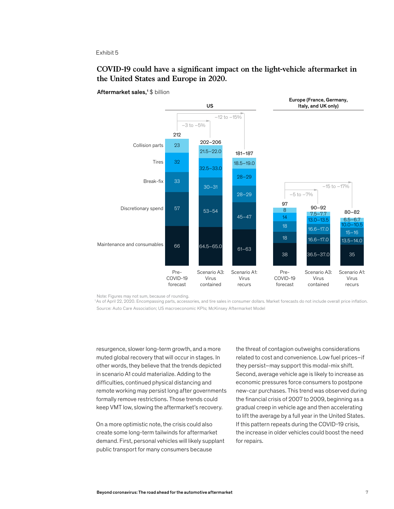#### **COVID-19 could have a significant impact on the light-vehicle aftermarket in the United States and Europe in 2020.**

US Maintenance and consumables Pre-COVID-19 forecast Scenario A3: Virus contained Scenario A1: Virus recurs Pre-COVID-19 forecast Scenario A3: Virus contained Scenario A1: Virus recurs 66 57 33 32  $23$ –3 to –5%  $-12$  to  $-15\%$ 30–31 53–54 32.5–33.0 21.5–22.0 202–206 28–29 45–47 28–29 18.5–19.0 181–187 18 18 14 8 16.6–17.0 16.6–17.0 13.0–13.5 7.5–7.7  $13.5 - 14.0$ 15–16  $0.0 - 10.5$ 6.5–6.7 97 90–92 80–82 212  $64.5 - 65.0$  61-63 38 36.5–37.0 35 Discretionary spend Break-fix Tires Collision parts Europe (France, Germany, Italy, and UK only) –5 to –7%  $-15$  to  $-17\%$ 

Aftermarket sales,<sup>1</sup> \$ billion

Note: Figures may not sum, because of rounding.

1 As of April 22, 2020. Encompassing parts, accessories, and tire sales in consumer dollars. Market forecasts do not include overall price inflation. Source: Auto Care Association; US macroeconomic KPIs; McKinsey Aftermarket Model

resurgence, slower long-term growth, and a more muted global recovery that will occur in stages. In other words, they believe that the trends depicted in scenario A1 could materialize. Adding to the difficulties, continued physical distancing and remote working may persist long after governments formally remove restrictions. Those trends could keep VMT low, slowing the aftermarket's recovery.

On a more optimistic note, the crisis could also create some long-term tailwinds for aftermarket demand. First, personal vehicles will likely supplant public transport for many consumers because

the threat of contagion outweighs considerations related to cost and convenience. Low fuel prices–if they persist–may support this modal-mix shift. Second, average vehicle age is likely to increase as economic pressures force consumers to postpone new-car purchases. This trend was observed during the financial crisis of 2007 to 2009, beginning as a gradual creep in vehicle age and then accelerating to lift the average by a full year in the United States. If this pattern repeats during the COVID-19 crisis, the increase in older vehicles could boost the need for repairs.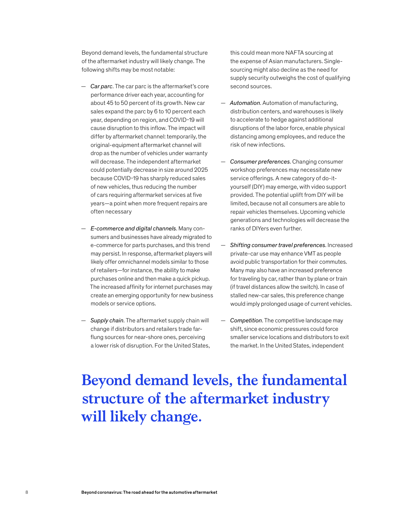Beyond demand levels, the fundamental structure of the aftermarket industry will likely change. The following shifts may be most notable:

- *Car parc*. The car parc is the aftermarket's core performance driver each year, accounting for about 45 to 50 percent of its growth. New car sales expand the parc by 6 to 10 percent each year, depending on region, and COVID-19 will cause disruption to this inflow. The impact will differ by aftermarket channel: temporarily, the original-equipment aftermarket channel will drop as the number of vehicles under warranty will decrease. The independent aftermarket could potentially decrease in size around 2025 because COVID-19 has sharply reduced sales of new vehicles, thus reducing the number of cars requiring aftermarket services at five years—a point when more frequent repairs are often necessary
- *E-commerce and digital channels*. Many consumers and businesses have already migrated to e-commerce for parts purchases, and this trend may persist. In response, aftermarket players will likely offer omnichannel models similar to those of retailers—for instance, the ability to make purchases online and then make a quick pickup. The increased affinity for internet purchases may create an emerging opportunity for new business models or service options.
- *Supply chain*. The aftermarket supply chain will change if distributors and retailers trade farflung sources for near-shore ones, perceiving a lower risk of disruption. For the United States,

this could mean more NAFTA sourcing at the expense of Asian manufacturers. Singlesourcing might also decline as the need for supply security outweighs the cost of qualifying second sources.

- *Automation*. Automation of manufacturing, distribution centers, and warehouses is likely to accelerate to hedge against additional disruptions of the labor force, enable physical distancing among employees, and reduce the risk of new infections.
- *Consumer preferences*. Changing consumer workshop preferences may necessitate new service offerings. A new category of do-ityourself (DIY) may emerge, with video support provided. The potential uplift from DIY will be limited, because not all consumers are able to repair vehicles themselves. Upcoming vehicle generations and technologies will decrease the ranks of DIYers even further.
- *Shifting consumer travel preferences*. Increased private-car use may enhance VMT as people avoid public transportation for their commutes. Many may also have an increased preference for traveling by car, rather than by plane or train (if travel distances allow the switch). In case of stalled new-car sales, this preference change would imply prolonged usage of current vehicles.
- *Competition*. The competitive landscape may shift, since economic pressures could force smaller service locations and distributors to exit the market. In the United States, independent

## **Beyond demand levels, the fundamental structure of the aftermarket industry will likely change.**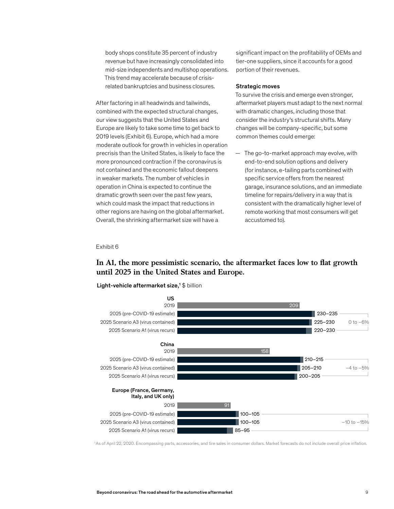body shops constitute 35 percent of industry revenue but have increasingly consolidated into mid-size independents and multishop operations. This trend may accelerate because of crisisrelated bankruptcies and business closures.

After factoring in all headwinds and tailwinds, combined with the expected structural changes, our view suggests that the United States and Europe are likely to take some time to get back to 2019 levels (Exhibit 6). Europe, which had a more moderate outlook for growth in vehicles in operation precrisis than the United States, is likely to face the more pronounced contraction if the coronavirus is not contained and the economic fallout deepens in weaker markets. The number of vehicles in operation in China is expected to continue the dramatic growth seen over the past few years, aramane growth seem over the past few years,<br>which could mask the impact that reductions in man construction in appear mandemediation.<br>
other regions are having on the global aftermarket. Overall, the shrinking aftermarket size will have a

significant impact on the profitability of OEMs and tier-one suppliers, since it accounts for a good portion of their revenues.

#### Strategic moves

To survive the crisis and emerge even stronger, aftermarket players must adapt to the next normal with dramatic changes, including those that consider the industry's structural shifts. Many changes will be company-specific, but some common themes could emerge:

— The go-to-market approach may evolve, with end-to-end solution options and delivery (for instance, e-tailing parts combined with specific service offers from the nearest garage, insurance solutions, and an immediate timeline for repairs/delivery in a way that is consistent with the dramatically higher level of remote working that most consumers will get accustomed to).

#### Exhibit 6

#### In A1, the more pessimistic scenario, the aftermarket faces low to flat growth **until 2025 in the United States and Europe.**



Light-vehicle aftermarket size,<sup>1</sup> \$ billion

<sup>1</sup>As of April 22, 2020. Encompassing parts, accessories, and tire sales in consumer dollars. Market forecasts do not include overall price inflation.